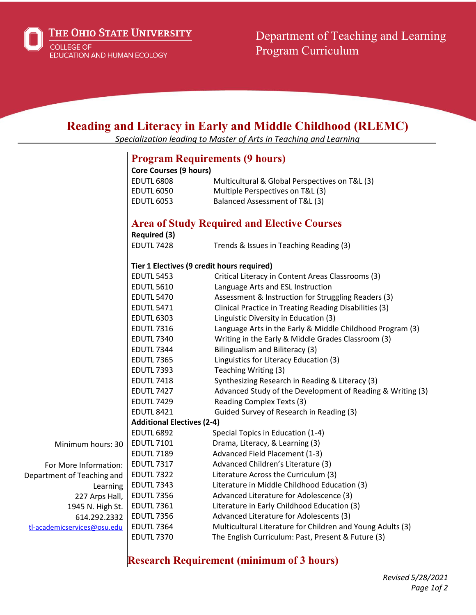

Department of Teaching and Learning Program Curriculum

## **Reading and Literacy in Early and Middle Childhood (RLEMC)**

*Specialization leading to Master of Arts in Teaching and Learning*

## **Program Requirements (9 hours)**

|                             | <b>Core Courses (9 hours)</b>                      |                                                            |
|-----------------------------|----------------------------------------------------|------------------------------------------------------------|
|                             | <b>EDUTL 6808</b>                                  | Multicultural & Global Perspectives on T&L (3)             |
|                             | <b>EDUTL 6050</b>                                  | Multiple Perspectives on T&L (3)                           |
|                             | <b>EDUTL 6053</b>                                  | Balanced Assessment of T&L (3)                             |
|                             |                                                    |                                                            |
|                             | <b>Area of Study Required and Elective Courses</b> |                                                            |
|                             | <b>Required (3)</b>                                |                                                            |
|                             | <b>EDUTL 7428</b>                                  | Trends & Issues in Teaching Reading (3)                    |
|                             | Tier 1 Electives (9 credit hours required)         |                                                            |
|                             | <b>EDUTL 5453</b>                                  | Critical Literacy in Content Areas Classrooms (3)          |
|                             | <b>EDUTL 5610</b>                                  | Language Arts and ESL Instruction                          |
|                             | <b>EDUTL 5470</b>                                  | Assessment & Instruction for Struggling Readers (3)        |
|                             | <b>EDUTL 5471</b>                                  | Clinical Practice in Treating Reading Disabilities (3)     |
|                             | <b>EDUTL 6303</b>                                  | Linguistic Diversity in Education (3)                      |
|                             | <b>EDUTL 7316</b>                                  | Language Arts in the Early & Middle Childhood Program (3)  |
|                             | <b>EDUTL 7340</b>                                  | Writing in the Early & Middle Grades Classroom (3)         |
|                             | <b>EDUTL 7344</b>                                  | Bilingualism and Biliteracy (3)                            |
|                             | <b>EDUTL 7365</b>                                  | Linguistics for Literacy Education (3)                     |
|                             | <b>EDUTL 7393</b>                                  | Teaching Writing (3)                                       |
|                             | <b>EDUTL 7418</b>                                  | Synthesizing Research in Reading & Literacy (3)            |
|                             | <b>EDUTL 7427</b>                                  | Advanced Study of the Development of Reading & Writing (3) |
|                             | <b>EDUTL 7429</b>                                  | Reading Complex Texts (3)                                  |
|                             | <b>EDUTL 8421</b>                                  | Guided Survey of Research in Reading (3)                   |
|                             | <b>Additional Electives (2-4)</b>                  |                                                            |
|                             | <b>EDUTL 6892</b>                                  | Special Topics in Education (1-4)                          |
| Minimum hours: 30           | <b>EDUTL 7101</b>                                  | Drama, Literacy, & Learning (3)                            |
|                             | <b>EDUTL 7189</b>                                  | Advanced Field Placement (1-3)                             |
| For More Information:       | <b>EDUTL 7317</b>                                  | Advanced Children's Literature (3)                         |
| Department of Teaching and  | <b>EDUTL 7322</b>                                  | Literature Across the Curriculum (3)                       |
| Learning                    | <b>EDUTL 7343</b>                                  | Literature in Middle Childhood Education (3)               |
| 227 Arps Hall,              | <b>EDUTL 7356</b>                                  | Advanced Literature for Adolescence (3)                    |
| 1945 N. High St.            | <b>EDUTL 7361</b>                                  | Literature in Early Childhood Education (3)                |
| 614.292.2332                | <b>EDUTL 7356</b>                                  | Advanced Literature for Adolescents (3)                    |
| tl-academicservices@osu.edu | <b>EDUTL 7364</b>                                  | Multicultural Literature for Children and Young Adults (3) |
|                             | <b>EDUTL 7370</b>                                  | The English Curriculum: Past, Present & Future (3)         |

## **Research Requirement (minimum of 3 hours)**

*Revised 5/28/2021 Page 1of 2*